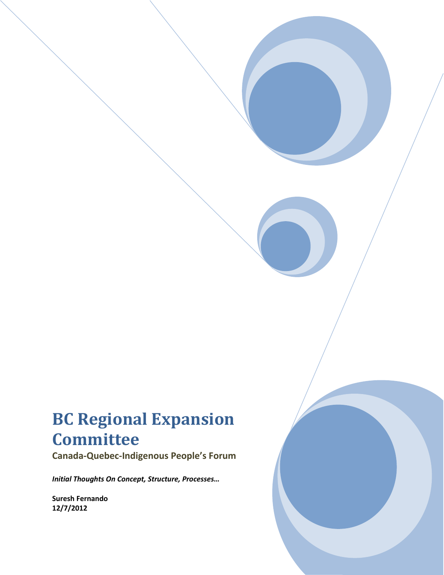# **BC Regional Expansion Committee**

**Canada-Quebec-Indigenous People's Forum** 

*Initial Thoughts On Concept, Structure, Processes…*

**Suresh Fernando 12/7/2012**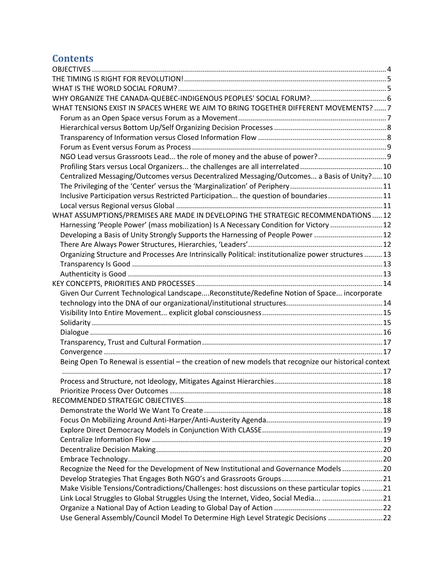## **Contents**

| WHAT TENSIONS EXIST IN SPACES WHERE WE AIM TO BRING TOGETHER DIFFERENT MOVEMENTS?  7                  |  |
|-------------------------------------------------------------------------------------------------------|--|
|                                                                                                       |  |
|                                                                                                       |  |
|                                                                                                       |  |
|                                                                                                       |  |
| NGO Lead versus Grassroots Lead the role of money and the abuse of power?                             |  |
|                                                                                                       |  |
| Centralized Messaging/Outcomes versus Decentralized Messaging/Outcomes a Basis of Unity?10            |  |
|                                                                                                       |  |
| Inclusive Participation versus Restricted Participation the question of boundaries11                  |  |
|                                                                                                       |  |
| WHAT ASSUMPTIONS/PREMISES ARE MADE IN DEVELOPING THE STRATEGIC RECOMMENDATIONS  12                    |  |
| Harnessing 'People Power' (mass mobilization) Is A Necessary Condition for Victory  12                |  |
| Developing a Basis of Unity Strongly Supports the Harnessing of People Power 12                       |  |
|                                                                                                       |  |
| Organizing Structure and Processes Are Intrinsically Political: institutionalize power structures  13 |  |
|                                                                                                       |  |
|                                                                                                       |  |
|                                                                                                       |  |
| Given Our Current Technological LandscapeReconstitute/Redefine Notion of Space incorporate            |  |
|                                                                                                       |  |
|                                                                                                       |  |
|                                                                                                       |  |
|                                                                                                       |  |
|                                                                                                       |  |
|                                                                                                       |  |
|                                                                                                       |  |
| Being Open To Renewal is essential - the creation of new models that recognize our historical context |  |
|                                                                                                       |  |
|                                                                                                       |  |
|                                                                                                       |  |
|                                                                                                       |  |
|                                                                                                       |  |
|                                                                                                       |  |
|                                                                                                       |  |
|                                                                                                       |  |
|                                                                                                       |  |
|                                                                                                       |  |
| Recognize the Need for the Development of New Institutional and Governance Models 20                  |  |
|                                                                                                       |  |
| Make Visible Tensions/Contradictions/Challenges: host discussions on these particular topics  21      |  |
| Link Local Struggles to Global Struggles Using the Internet, Video, Social Media 21                   |  |
| Use General Assembly/Council Model To Determine High Level Strategic Decisions  22                    |  |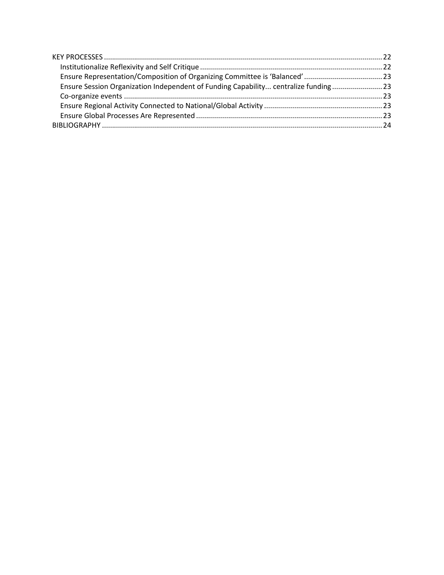<span id="page-2-0"></span>

| Ensure Session Organization Independent of Funding Capability centralize funding 23 |  |
|-------------------------------------------------------------------------------------|--|
|                                                                                     |  |
|                                                                                     |  |
|                                                                                     |  |
|                                                                                     |  |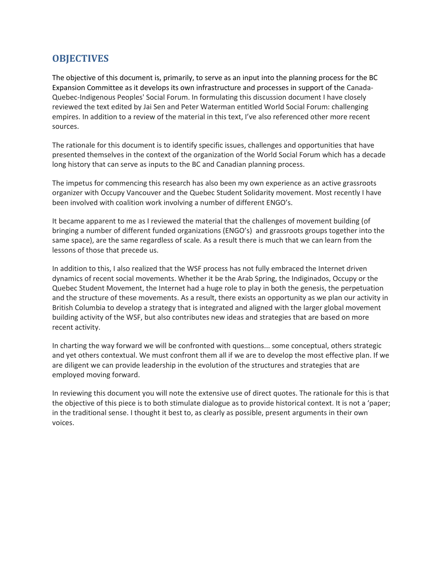## **OBJECTIVES**

The objective of this document is, primarily, to serve as an input into the planning process for the BC Expansion Committee as it develops its own infrastructure and processes in support of the Canada-Quebec-Indigenous Peoples' Social Forum. In formulating this discussion document I have closely reviewed the text edited by Jai Sen and Peter Waterman entitled World Social Forum: challenging empires. In addition to a review of the material in this text, I've also referenced other more recent sources.

The rationale for this document is to identify specific issues, challenges and opportunities that have presented themselves in the context of the organization of the World Social Forum which has a decade long history that can serve as inputs to the BC and Canadian planning process.

The impetus for commencing this research has also been my own experience as an active grassroots organizer with Occupy Vancouver and the Quebec Student Solidarity movement. Most recently I have been involved with coalition work involving a number of different ENGO's.

It became apparent to me as I reviewed the material that the challenges of movement building (of bringing a number of different funded organizations (ENGO's) and grassroots groups together into the same space), are the same regardless of scale. As a result there is much that we can learn from the lessons of those that precede us.

In addition to this, I also realized that the WSF process has not fully embraced the Internet driven dynamics of recent social movements. Whether it be the Arab Spring, the Indiginados, Occupy or the Quebec Student Movement, the Internet had a huge role to play in both the genesis, the perpetuation and the structure of these movements. As a result, there exists an opportunity as we plan our activity in British Columbia to develop a strategy that is integrated and aligned with the larger global movement building activity of the WSF, but also contributes new ideas and strategies that are based on more recent activity.

In charting the way forward we will be confronted with questions... some conceptual, others strategic and yet others contextual. We must confront them all if we are to develop the most effective plan. If we are diligent we can provide leadership in the evolution of the structures and strategies that are employed moving forward.

<span id="page-3-0"></span>In reviewing this document you will note the extensive use of direct quotes. The rationale for this is that the objective of this piece is to both stimulate dialogue as to provide historical context. It is not a 'paper; in the traditional sense. I thought it best to, as clearly as possible, present arguments in their own voices.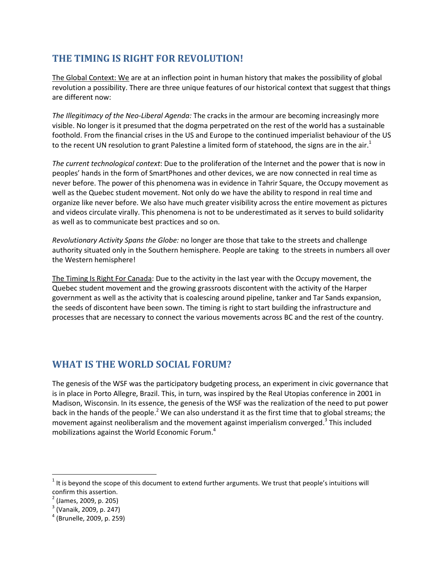## **THE TIMING IS RIGHT FOR REVOLUTION!**

The Global Context: We are at an inflection point in human history that makes the possibility of global revolution a possibility. There are three unique features of our historical context that suggest that things are different now:

*The Illegitimacy of the Neo-Liberal Agenda:* The cracks in the armour are becoming increasingly more visible. No longer is it presumed that the dogma perpetrated on the rest of the world has a sustainable foothold. From the financial crises in the US and Europe to the continued imperialist behaviour of the US to the recent UN resolution to grant Palestine a limited form of statehood, the signs are in the air.<sup>1</sup>

*The current technological context*: Due to the proliferation of the Internet and the power that is now in peoples' hands in the form of SmartPhones and other devices, we are now connected in real time as never before. The power of this phenomena was in evidence in Tahrir Square, the Occupy movement as well as the Quebec student movement. Not only do we have the ability to respond in real time and organize like never before. We also have much greater visibility across the entire movement as pictures and videos circulate virally. This phenomena is not to be underestimated as it serves to build solidarity as well as to communicate best practices and so on.

*Revolutionary Activity Spans the Globe:* no longer are those that take to the streets and challenge authority situated only in the Southern hemisphere. People are taking to the streets in numbers all over the Western hemisphere!

The Timing Is Right For Canada: Due to the activity in the last year with the Occupy movement, the Quebec student movement and the growing grassroots discontent with the activity of the Harper government as well as the activity that is coalescing around pipeline, tanker and Tar Sands expansion, the seeds of discontent have been sown. The timing is right to start building the infrastructure and processes that are necessary to connect the various movements across BC and the rest of the country.

## <span id="page-4-0"></span>**WHAT IS THE WORLD SOCIAL FORUM?**

The genesis of the WSF was the participatory budgeting process, an experiment in civic governance that is in place in Porto Allegre, Brazil. This, in turn, was inspired by the Real Utopias conference in 2001 in Madison, Wisconsin. In its essence, the genesis of the WSF was the realization of the need to put power back in the hands of the people.<sup>2</sup> We can also understand it as the first time that to global streams; the movement against neoliberalism and the movement against imperialism converged.<sup>3</sup> This included mobilizations against the World Economic Forum.<sup>4</sup>

l

 $1$  It is beyond the scope of this document to extend further arguments. We trust that people's intuitions will confirm this assertion.

<sup>&</sup>lt;sup>2</sup> (James, 2009, p. 205)

<sup>&</sup>lt;sup>3</sup> (Vanaik, 2009, p. 247)

<sup>4</sup> (Brunelle, 2009, p. 259)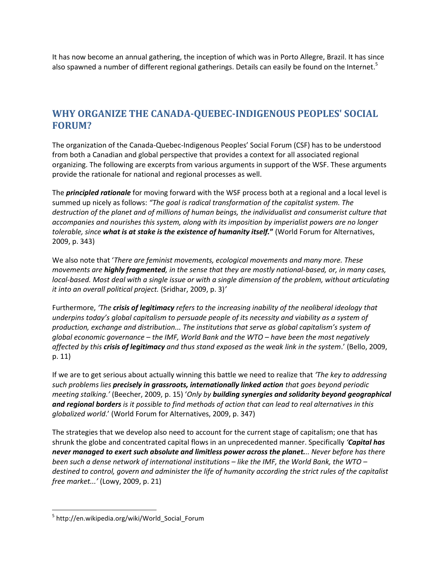It has now become an annual gathering, the inception of which was in Porto Allegre, Brazil. It has since also spawned a number of different regional gatherings. Details can easily be found on the Internet.<sup>5</sup>

## <span id="page-5-0"></span>**WHY ORGANIZE THE CANADA-QUEBEC-INDIGENOUS PEOPLES' SOCIAL FORUM?**

The organization of the Canada-Quebec-Indigenous Peoples' Social Forum (CSF) has to be understood from both a Canadian and global perspective that provides a context for all associated regional organizing. The following are excerpts from various arguments in support of the WSF. These arguments provide the rationale for national and regional processes as well.

The *principled rationale* for moving forward with the WSF process both at a regional and a local level is summed up nicely as follows: *"The goal is radical transformation of the capitalist system. The destruction of the planet and of millions of human beings, the individualist and consumerist culture that accompanies and nourishes this system, along with its imposition by imperialist powers are no longer tolerable, since what is at stake is the existence of humanity itself.***"** (World Forum for Alternatives, 2009, p. 343)

We also note that '*There are feminist movements, ecological movements and many more. These movements are highly fragmented, in the sense that they are mostly national-based, or, in many cases, local-based. Most deal with a single issue or with a single dimension of the problem, without articulating it into an overall political project.* (Sridhar, 2009, p. 3)*'*

Furthermore, *'The crisis of legitimacy refers to the increasing inability of the neoliberal ideology that underpins today's global capitalism to persuade people of its necessity and viability as a system of production, exchange and distribution... The institutions that serve as global capitalism's system of global economic governance – the IMF, World Bank and the WTO – have been the most negatively affected by this crisis of legitimacy and thus stand exposed as the weak link in the system*.' (Bello, 2009, p. 11)

If we are to get serious about actually winning this battle we need to realize that *'The key to addressing such problems lies precisely in grassroots, internationally linked action that goes beyond periodic meeting stalking.'* (Beecher, 2009, p. 15) '*Only by building synergies and solidarity beyond geographical and regional borders is it possible to find methods of action that can lead to real alternatives in this globalized world*.' (World Forum for Alternatives, 2009, p. 347)

The strategies that we develop also need to account for the current stage of capitalism; one that has shrunk the globe and concentrated capital flows in an unprecedented manner. Specifically *'Capital has never managed to exert such absolute and limitless power across the planet... Never before has there been such a dense network of international institutions – like the IMF, the World Bank, the WTO – destined to control, govern and administer the life of humanity according the strict rules of the capitalist free market...'* (Lowy, 2009, p. 21)

 $\overline{\phantom{a}}$ 

<sup>&</sup>lt;sup>5</sup> http://en.wikipedia.org/wiki/World\_Social\_Forum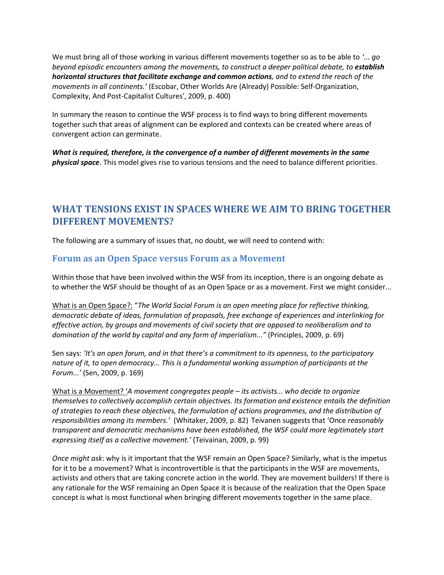We must bring all of those working in various different movements together so as to be able to *'... go beyond episodic encounters among the movements, to construct a deeper political debate, to establish horizontal structures that facilitate exchange and common actions, and to extend the reach of the movements in all continents.'* (Escobar, Other Worlds Are (Already) Possible: Self-Organization, Complexity, And Post-Capitalist Cultures', 2009, p. 400)

In summary the reason to continue the WSF process is to find ways to bring different movements together such that areas of alignment can be explored and contexts can be created where areas of convergent action can germinate.

*What is required, therefore, is the convergence of a number of different movements in the same physical space*. This model gives rise to various tensions and the need to balance different priorities.

## <span id="page-6-0"></span>**WHAT TENSIONS EXIST IN SPACES WHERE WE AIM TO BRING TOGETHER DIFFERENT MOVEMENTS?**

The following are a summary of issues that, no doubt, we will need to contend with:

#### <span id="page-6-1"></span>**Forum as an Open Space versus Forum as a Movement**

Within those that have been involved within the WSF from its inception, there is an ongoing debate as to whether the WSF should be thought of as an Open Space or as a movement. First we might consider...

What is an Open Space?: "*The World Social Forum is an open meeting place for reflective thinking, democratic debate of ideas, formulation of proposals, free exchange of experiences and interlinking for effective action, by groups and movements of civil society that are opposed to neoliberalism and to domination of the world by capital and any form of imperialism..."* (Principles, 2009, p. 69)

Sen says: *'It's an open forum, and in that there's a commitment to its openness, to the participatory nature of it, to open democracy... This is a fundamental working assumption of participants at the Forum...'* (Sen, 2009, p. 169)

What is a Movement? '*A movement congregates people – its activists... who decide to organize themselves to collectively accomplish certain objectives. Its formation and existence entails the definition of strategies to reach these objectives, the formulation of actions programmes, and the distribution of responsibilities among its members.'* (Whitaker, 2009, p. 82) Teivanen suggests that 'Once *reasonably transparent and democratic mechanisms have been established, the WSF could more legitimately start expressing itself as a collective movement.'* (Teivainan, 2009, p. 99)

*Once might ask*: why is it important that the WSF remain an Open Space? Similarly, what is the impetus for it to be a movement? What is incontrovertible is that the participants in the WSF are movements, activists and others that are taking concrete action in the world. They are movement builders! If there is any rationale for the WSF remaining an Open Space it is because of the realization that the Open Space concept is what is most functional when bringing different movements together in the same place.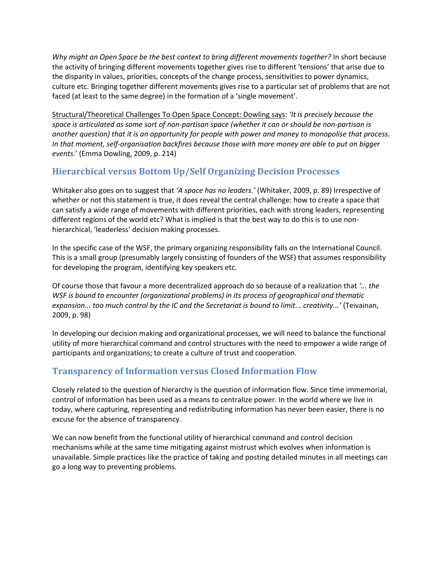*Why might an Open Space be the best context to bring different movements together?* In short because the activity of bringing different movements together gives rise to different 'tensions' that arise due to the disparity in values, priorities, concepts of the change process, sensitivities to power dynamics, culture etc. Bringing together different movements gives rise to a particular set of problems that are not faced (at least to the same degree) in the formation of a 'single movement'.

Structural/Theoretical Challenges To Open Space Concept: Dowling says: *'It is precisely because the space is articulated as some sort of non-partisan space (whether it can or should be non-partisan is another question) that it is an opportunity for people with power and money to monopolise that process. In that moment, self-organisation backfires because those with more money are able to put on bigger events.*' (Emma Dowling, 2009, p. 214)

## <span id="page-7-0"></span>**Hierarchical versus Bottom Up/Self Organizing Decision Processes**

Whitaker also goes on to suggest that *'A space has no leaders.'* (Whitaker, 2009, p. 89) Irrespective of whether or not this statement is true, it does reveal the central challenge: how to create a space that can satisfy a wide range of movements with different priorities, each with strong leaders, representing different regions of the world etc? What is implied is that the best way to do this is to use nonhierarchical, 'leaderless' decision making processes.

In the specific case of the WSF, the primary organizing responsibility falls on the International Council. This is a small group (presumably largely consisting of founders of the WSF) that assumes responsibility for developing the program, identifying key speakers etc.

Of course those that favour a more decentralized approach do so because of a realization that *'... the WSF is bound to encounter (organizational problems) in its process of geographical and thematic expansion... too much control by the IC and the Secretariat is bound to limit... creativity...'* (Teivainan, 2009, p. 98)

In developing our decision making and organizational processes, we will need to balance the functional utility of more hierarchical command and control structures with the need to empower a wide range of participants and organizations; to create a culture of trust and cooperation.

## <span id="page-7-1"></span>**Transparency of Information versus Closed Information Flow**

Closely related to the question of hierarchy is the question of information flow. Since time immemorial, control of information has been used as a means to centralize power. In the world where we live in today, where capturing, representing and redistributing information has never been easier, there is no excuse for the absence of transparency.

We can now benefit from the functional utility of hierarchical command and control decision mechanisms while at the same time mitigating against mistrust which evolves when information is unavailable. Simple practices like the practice of taking and posting detailed minutes in all meetings can go a long way to preventing problems.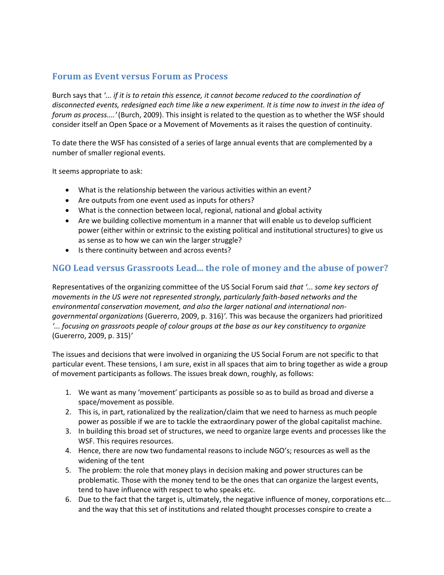#### <span id="page-8-0"></span>**Forum as Event versus Forum as Process**

Burch says that *'... if it is to retain this essence, it cannot become reduced to the coordination of disconnected events, redesigned each time like a new experiment. It is time now to invest in the idea of forum as process....'*(Burch, 2009). This insight is related to the question as to whether the WSF should consider itself an Open Space or a Movement of Movements as it raises the question of continuity.

To date there the WSF has consisted of a series of large annual events that are complemented by a number of smaller regional events.

It seems appropriate to ask:

- What is the relationship between the various activities within an event*?*
- Are outputs from one event used as inputs for others?
- What is the connection between local, regional, national and global activity
- Are we building collective momentum in a manner that will enable us to develop sufficient power (either within or extrinsic to the existing political and institutional structures) to give us as sense as to how we can win the larger struggle?
- Is there continuity between and across events?

## <span id="page-8-1"></span>**NGO Lead versus Grassroots Lead... the role of money and the abuse of power?**

Representatives of the organizing committee of the US Social Forum said *that '... some key sectors of movements in the US were not represented strongly, particularly faith-based networks and the environmental conservation movement, and also the larger national and international nongovernmental organizations* (Guererro, 2009, p. 316)*'.* This was because the organizers had prioritized *'... focusing on grassroots people of colour groups at the base as our key constituency to organize* (Guererro, 2009, p. 315)*'*

The issues and decisions that were involved in organizing the US Social Forum are not specific to that particular event. These tensions, I am sure, exist in all spaces that aim to bring together as wide a group of movement participants as follows. The issues break down, roughly, as follows:

- 1. We want as many 'movement' participants as possible so as to build as broad and diverse a space/movement as possible.
- 2. This is, in part, rationalized by the realization/claim that we need to harness as much people power as possible if we are to tackle the extraordinary power of the global capitalist machine.
- 3. In building this broad set of structures, we need to organize large events and processes like the WSF. This requires resources.
- 4. Hence, there are now two fundamental reasons to include NGO's; resources as well as the widening of the tent
- 5. The problem: the role that money plays in decision making and power structures can be problematic. Those with the money tend to be the ones that can organize the largest events, tend to have influence with respect to who speaks etc.
- 6. Due to the fact that the target is, ultimately, the negative influence of money, corporations etc... and the way that this set of institutions and related thought processes conspire to create a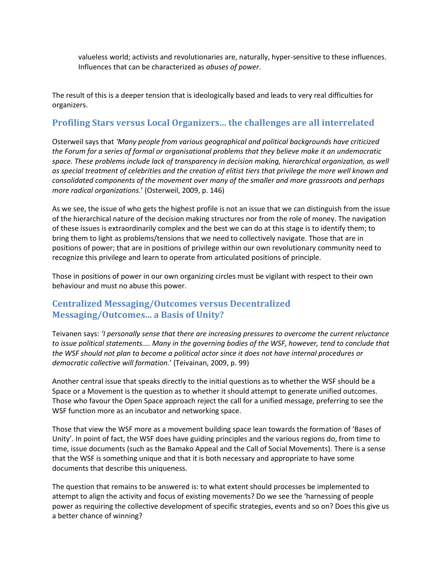valueless world; activists and revolutionaries are, naturally, hyper-sensitive to these influences. Influences that can be characterized as *abuses of power*.

The result of this is a deeper tension that is ideologically based and leads to very real difficulties for organizers.

#### <span id="page-9-0"></span>**Profiling Stars versus Local Organizers... the challenges are all interrelated**

Osterweil says that *'Many people from various geographical and political backgrounds have criticized the Forum for a series of formal or organisational problems that they believe make it an undemocratic space. These problems include lack of transparency in decision making, hierarchical organization, as well as special treatment of celebrities and the creation of elitist tiers that privilege the more well known and consolidated components of the movement over many of the smaller and more grassroots and perhaps more radical organizations.*' (Osterweil, 2009, p. 146)

As we see, the issue of who gets the highest profile is not an issue that we can distinguish from the issue of the hierarchical nature of the decision making structures nor from the role of money. The navigation of these issues is extraordinarily complex and the best we can do at this stage is to identify them; to bring them to light as problems/tensions that we need to collectively navigate. Those that are in positions of power; that are in positions of privilege within our own revolutionary community need to recognize this privilege and learn to operate from articulated positions of principle.

Those in positions of power in our own organizing circles must be vigilant with respect to their own behaviour and must no abuse this power.

#### <span id="page-9-1"></span>**Centralized Messaging/Outcomes versus Decentralized Messaging/Outcomes... a Basis of Unity?**

Teivanen says: *'I personally sense that there are increasing pressures to overcome the current reluctance to issue political statements.... Many in the governing bodies of the WSF, however, tend to conclude that the WSF should not plan to become a political actor since it does not have internal procedures or democratic collective will formation.*' (Teivainan, 2009, p. 99)

Another central issue that speaks directly to the initial questions as to whether the WSF should be a Space or a Movement is the question as to whether it should attempt to generate unified outcomes. Those who favour the Open Space approach reject the call for a unified message, preferring to see the WSF function more as an incubator and networking space.

Those that view the WSF more as a movement building space lean towards the formation of 'Bases of Unity'. In point of fact, the WSF does have guiding principles and the various regions do, from time to time, issue documents (such as the Bamako Appeal and the Call of Social Movements). There is a sense that the WSF is something unique and that it is both necessary and appropriate to have some documents that describe this uniqueness.

The question that remains to be answered is: to what extent should processes be implemented to attempt to align the activity and focus of existing movements? Do we see the 'harnessing of people power as requiring the collective development of specific strategies, events and so on? Does this give us a better chance of winning?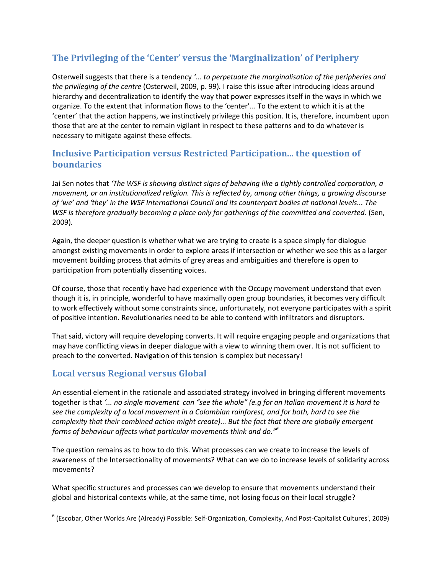## <span id="page-10-0"></span>**The Privileging of the 'Center' versus the 'Marginalization' of Periphery**

Osterweil suggests that there is a tendency *'... to perpetuate the marginalisation of the peripheries and the privileging of the centre* (Osterweil, 2009, p. 99)*.* I raise this issue after introducing ideas around hierarchy and decentralization to identify the way that power expresses itself in the ways in which we organize. To the extent that information flows to the 'center'... To the extent to which it is at the 'center' that the action happens, we instinctively privilege this position. It is, therefore, incumbent upon those that are at the center to remain vigilant in respect to these patterns and to do whatever is necessary to mitigate against these effects.

## <span id="page-10-1"></span>**Inclusive Participation versus Restricted Participation... the question of boundaries**

Jai Sen notes that *'The WSF is showing distinct signs of behaving like a tightly controlled corporation, a movement, or an institutionalized religion. This is reflected by, among other things, a growing discourse of 'we' and 'they' in the WSF International Council and its counterpart bodies at national levels... The WSF is therefore gradually becoming a place only for gatherings of the committed and converted.* (Sen, 2009)*.*

Again, the deeper question is whether what we are trying to create is a space simply for dialogue amongst existing movements in order to explore areas if intersection or whether we see this as a larger movement building process that admits of grey areas and ambiguities and therefore is open to participation from potentially dissenting voices.

Of course, those that recently have had experience with the Occupy movement understand that even though it is, in principle, wonderful to have maximally open group boundaries, it becomes very difficult to work effectively without some constraints since, unfortunately, not everyone participates with a spirit of positive intention. Revolutionaries need to be able to contend with infiltrators and disruptors.

That said, victory will require developing converts. It will require engaging people and organizations that may have conflicting views in deeper dialogue with a view to winning them over. It is not sufficient to preach to the converted. Navigation of this tension is complex but necessary!

## <span id="page-10-2"></span>**Local versus Regional versus Global**

 $\overline{\phantom{a}}$ 

An essential element in the rationale and associated strategy involved in bringing different movements together is that *'... no single movement can "see the whole" (e.g for an Italian movement it is hard to see the complexity of a local movement in a Colombian rainforest, and for both, hard to see the complexity that their combined action might create)... But the fact that there are globally emergent forms of behaviour affects what particular movements think and do."<sup>6</sup>*

The question remains as to how to do this. What processes can we create to increase the levels of awareness of the Intersectionality of movements? What can we do to increase levels of solidarity across movements?

What specific structures and processes can we develop to ensure that movements understand their global and historical contexts while, at the same time, not losing focus on their local struggle?

<sup>6</sup> (Escobar, Other Worlds Are (Already) Possible: Self-Organization, Complexity, And Post-Capitalist Cultures', 2009)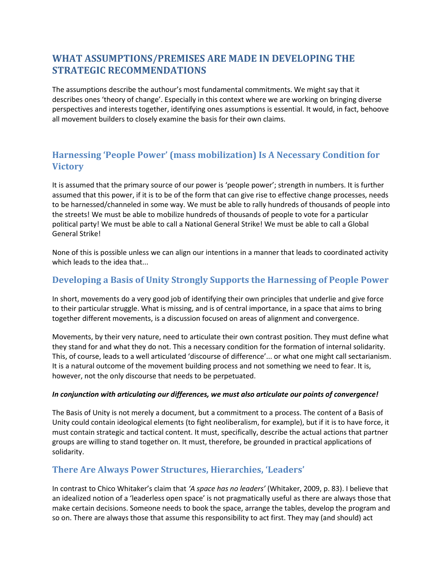## <span id="page-11-0"></span>**WHAT ASSUMPTIONS/PREMISES ARE MADE IN DEVELOPING THE STRATEGIC RECOMMENDATIONS**

The assumptions describe the authour's most fundamental commitments. We might say that it describes ones 'theory of change'. Especially in this context where we are working on bringing diverse perspectives and interests together, identifying ones assumptions is essential. It would, in fact, behoove all movement builders to closely examine the basis for their own claims.

## <span id="page-11-1"></span>**Harnessing 'People Power' (mass mobilization) Is A Necessary Condition for Victory**

It is assumed that the primary source of our power is 'people power'; strength in numbers. It is further assumed that this power, if it is to be of the form that can give rise to effective change processes, needs to be harnessed/channeled in some way. We must be able to rally hundreds of thousands of people into the streets! We must be able to mobilize hundreds of thousands of people to vote for a particular political party! We must be able to call a National General Strike! We must be able to call a Global General Strike!

None of this is possible unless we can align our intentions in a manner that leads to coordinated activity which leads to the idea that...

## <span id="page-11-2"></span>**Developing a Basis of Unity Strongly Supports the Harnessing of People Power**

In short, movements do a very good job of identifying their own principles that underlie and give force to their particular struggle. What is missing, and is of central importance, in a space that aims to bring together different movements, is a discussion focused on areas of alignment and convergence.

Movements, by their very nature, need to articulate their own contrast position. They must define what they stand for and what they do not. This a necessary condition for the formation of internal solidarity. This, of course, leads to a well articulated 'discourse of difference'... or what one might call sectarianism. It is a natural outcome of the movement building process and not something we need to fear. It is, however, not the only discourse that needs to be perpetuated.

#### *In conjunction with articulating our differences, we must also articulate our points of convergence!*

The Basis of Unity is not merely a document, but a commitment to a process. The content of a Basis of Unity could contain ideological elements (to fight neoliberalism, for example), but if it is to have force, it must contain strategic and tactical content. It must, specifically, describe the actual actions that partner groups are willing to stand together on. It must, therefore, be grounded in practical applications of solidarity.

#### <span id="page-11-3"></span>**There Are Always Power Structures, Hierarchies, 'Leaders'**

In contrast to Chico Whitaker's claim that *'A space has no leaders'* (Whitaker, 2009, p. 83). I believe that an idealized notion of a 'leaderless open space' is not pragmatically useful as there are always those that make certain decisions. Someone needs to book the space, arrange the tables, develop the program and so on. There are always those that assume this responsibility to act first. They may (and should) act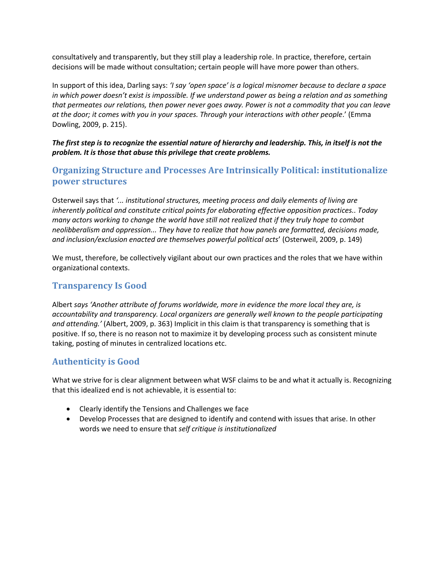consultatively and transparently, but they still play a leadership role. In practice, therefore, certain decisions will be made without consultation; certain people will have more power than others.

In support of this idea, Darling says: *'I say 'open space' is a logical misnomer because to declare a space in which power doesn't exist is impossible. If we understand power as being a relation and as something that permeates our relations, then power never goes away. Power is not a commodity that you can leave at the door; it comes with you in your spaces. Through your interactions with other people*.' (Emma Dowling, 2009, p. 215).

*The first step is to recognize the essential nature of hierarchy and leadership. This, in itself is not the problem. It is those that abuse this privilege that create problems.*

#### <span id="page-12-0"></span>**Organizing Structure and Processes Are Intrinsically Political: institutionalize power structures**

Osterweil says that *'... institutional structures, meeting process and daily elements of living are inherently political and constitute critical points for elaborating effective opposition practices.. Today many actors working to change the world have still not realized that if they truly hope to combat neolibberalism and oppression... They have to realize that how panels are formatted, decisions made, and inclusion/exclusion enacted are themselves powerful political acts*' (Osterweil, 2009, p. 149)

We must, therefore, be collectively vigilant about our own practices and the roles that we have within organizational contexts.

#### <span id="page-12-1"></span>**Transparency Is Good**

Albert *says 'Another attribute of forums worldwide, more in evidence the more local they are, is accountability and transparency. Local organizers are generally well known to the people participating and attending.'* (Albert, 2009, p. 363) Implicit in this claim is that transparency is something that is positive. If so, there is no reason not to maximize it by developing process such as consistent minute taking, posting of minutes in centralized locations etc.

#### <span id="page-12-2"></span>**Authenticity is Good**

What we strive for is clear alignment between what WSF claims to be and what it actually is. Recognizing that this idealized end is not achievable, it is essential to:

- Clearly identify the Tensions and Challenges we face
- Develop Processes that are designed to identify and contend with issues that arise. In other words we need to ensure that *self critique is institutionalized*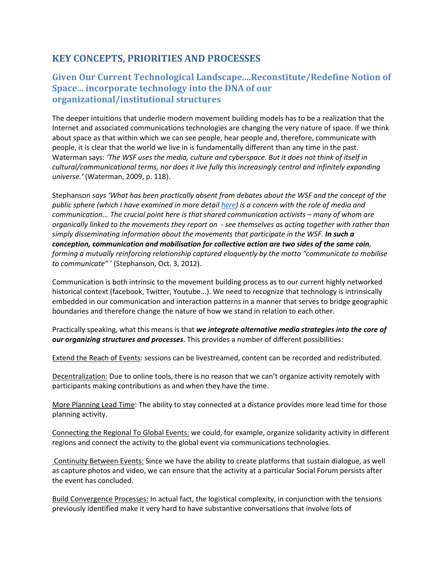## <span id="page-13-0"></span>**KEY CONCEPTS, PRIORITIES AND PROCESSES**

#### <span id="page-13-1"></span>**Given Our Current Technological Landscape....Reconstitute/Redefine Notion of Space... incorporate technology into the DNA of our organizational/institutional structures**

The deeper intuitions that underlie modern movement building models has to be a realization that the Internet and associated communications technologies are changing the very nature of space. If we think about space as that within which we can see people, hear people and, therefore, communicate with people, it is clear that the world we live in is fundamentally different than any time in the past. Waterman says: *'The WSF uses the media, culture and cyberspace. But it does not think of itself in cultural/communicational terms, nor does it live fully this increasingly central and infinitely expanding universe.'* (Waterman, 2009, p. 118).

Stephanson *says 'What has been practically absent from debates about the WSF and the concept of the public sphere (which I have examined in more detail [here\)](http://eprints.gold.ac.uk/6570/) is a concern with the role of media and communication... The crucial point here is that shared communication activists – many of whom are organically linked to the movements they report on - see themselves as acting together with rather than simply disseminating information about the movements that participate in the WSF. In such a conception, communication and mobilisation for collective action are two sides of the same coin, forming a mutually reinforcing relationship captured eloquently by the motto "communicate to mobilise to communicate"* ' (Stephanson, Oct. 3, 2012).

Communication is both intrinsic to the movement building process as to our current highly networked historical context (facebook, Twitter, Youtube...). We need to recognize that technology is intrinsically embedded in our communication and interaction patterns in a manner that serves to bridge geographic boundaries and therefore change the nature of how we stand in relation to each other.

Practically speaking, what this means is that *we integrate alternative media strategies into the core of our organizing structures and processes*. This provides a number of different possibilities:

Extend the Reach of Events: sessions can be livestreamed, content can be recorded and redistributed.

Decentralization: Due to online tools, there is no reason that we can't organize activity remotely with participants making contributions as and when they have the time.

More Planning Lead Time: The ability to stay connected at a distance provides more lead time for those planning activity.

Connecting the Regional To Global Events: we could, for example, organize solidarity activity in different regions and connect the activity to the global event via communications technologies.

Continuity Between Events: Since we have the ability to create platforms that sustain dialogue, as well as capture photos and video, we can ensure that the activity at a particular Social Forum persists after the event has concluded.

Build Convergence Processes: In actual fact, the logistical complexity, in conjunction with the tensions previously identified make it very hard to have substantive conversations that involve lots of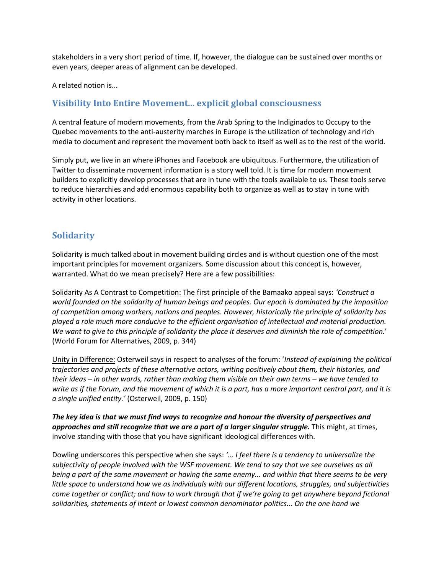stakeholders in a very short period of time. If, however, the dialogue can be sustained over months or even years, deeper areas of alignment can be developed.

A related notion is...

#### <span id="page-14-0"></span>**Visibility Into Entire Movement... explicit global consciousness**

A central feature of modern movements, from the Arab Spring to the Indiginados to Occupy to the Quebec movements to the anti-austerity marches in Europe is the utilization of technology and rich media to document and represent the movement both back to itself as well as to the rest of the world.

Simply put, we live in an where iPhones and Facebook are ubiquitous. Furthermore, the utilization of Twitter to disseminate movement information is a story well told. It is time for modern movement builders to explicitly develop processes that are in tune with the tools available to us. These tools serve to reduce hierarchies and add enormous capability both to organize as well as to stay in tune with activity in other locations.

#### <span id="page-14-1"></span>**Solidarity**

Solidarity is much talked about in movement building circles and is without question one of the most important principles for movement organizers. Some discussion about this concept is, however, warranted. What do we mean precisely? Here are a few possibilities:

Solidarity As A Contrast to Competition: The first principle of the Bamaako appeal says: *'Construct a world founded on the solidarity of human beings and peoples. Our epoch is dominated by the imposition of competition among workers, nations and peoples. However, historically the principle of solidarity has played a role much more conducive to the efficient organisation of intellectual and material production. We want to give to this principle of solidarity the place it deserves and diminish the role of competition.*' (World Forum for Alternatives, 2009, p. 344)

Unity in Difference: Osterweil says in respect to analyses of the forum: '*Instead of explaining the political trajectories and projects of these alternative actors, writing positively about them, their histories, and their ideas – in other words, rather than making them visible on their own terms – we have tended to write as if the Forum, and the movement of which it is a part, has a more important central part, and it is a single unified entity.'* (Osterweil, 2009, p. 150)

*The key idea is that we must find ways to recognize and honour the diversity of perspectives and approaches and still recognize that we are a part of a larger singular struggle.* This might, at times, involve standing with those that you have significant ideological differences with.

Dowling underscores this perspective when she says: *'... I feel there is a tendency to universalize the subjectivity of people involved with the WSF movement. We tend to say that we see ourselves as all being a part of the same movement or having the same enemy... and within that there seems to be very little space to understand how we as individuals with our different locations, struggles, and subjectivities come together or conflict; and how to work through that if we're going to get anywhere beyond fictional solidarities, statements of intent or lowest common denominator politics... On the one hand we*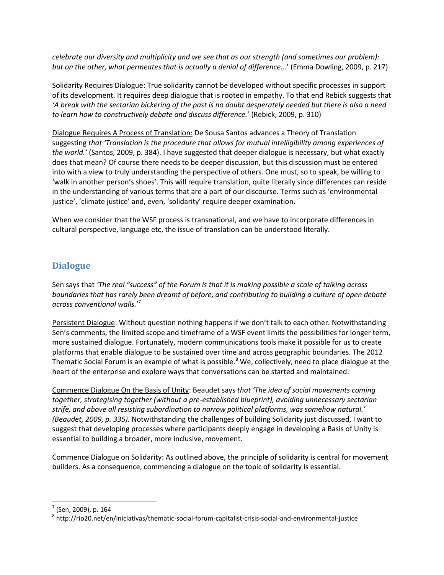*celebrate our diversity and multiplicity and we see that as our strength (and sometimes our problem): but on the other, what permeates that is actually a denial of difference...*' (Emma Dowling, 2009, p. 217)

Solidarity Requires Dialogue: True solidarity cannot be developed without specific processes in support of its development. It requires deep dialogue that is rooted in empathy. To that end Rebick suggests that *'A break with the sectarian bickering of the past is no doubt desperately needed but there is also a need to learn how to constructively debate and discuss difference.*' (Rebick, 2009, p. 310)

Dialogue Requires A Process of Translation: De Sousa Santos advances a Theory of Translation suggesting *that 'Translation is the procedure that allows for mutual intelligibility among experiences of the world.'* (Santos, 2009, p. 384). I have suggested that deeper dialogue is necessary, but what exactly does that mean? Of course there needs to be deeper discussion, but this discussion must be entered into with a view to truly understanding the perspective of others. One must, so to speak, be willing to 'walk in another person's shoes'. This will require translation, quite literally since differences can reside in the understanding of various terms that are a part of our discourse. Terms such as 'environmental justice', 'climate justice' and, even, 'solidarity' require deeper examination.

When we consider that the WSF process is transnational, and we have to incorporate differences in cultural perspective, language etc, the issue of translation can be understood literally.

## <span id="page-15-0"></span>**Dialogue**

Sen says that *'The real "success" of the Forum is that it is making possible a scale of talking across boundaries that has rarely been dreamt of before, and contributing to building a culture of open debate across conventional walls.*' 7

Persistent Dialogue: Without question nothing happens if we don't talk to each other. Notwithstanding Sen's comments, the limited scope and timeframe of a WSF event limits the possibilities for longer term, more sustained dialogue. Fortunately, modern communications tools make it possible for us to create platforms that enable dialogue to be sustained over time and across geographic boundaries. The 2012 Thematic Social Forum is an example of what is possible. $8$  We, collectively, need to place dialogue at the heart of the enterprise and explore ways that conversations can be started and maintained.

Commence Dialogue On the Basis of Unity: Beaudet says *that 'The idea of social movements coming together, strategising together (without a pre-established blueprint), avoiding unnecessary sectarian strife, and above all resisting subordination to narrow political platforms, was somehow natural.' (Beaudet, 2009, p. 335).* Notwithstanding the challenges of building Solidarity just discussed, I want to suggest that developing processes where participants deeply engage in developing a Basis of Unity is essential to building a broader, more inclusive, movement.

Commence Dialogue on Solidarity: As outlined above, the principle of solidarity is central for movement builders. As a consequence, commencing a dialogue on the topic of solidarity is essential.

l

<sup>&</sup>lt;sup>7</sup> (Sen, 2009), p. 164

 $^8$  http://rio20.net/en/iniciativas/thematic-social-forum-capitalist-crisis-social-and-environmental-justice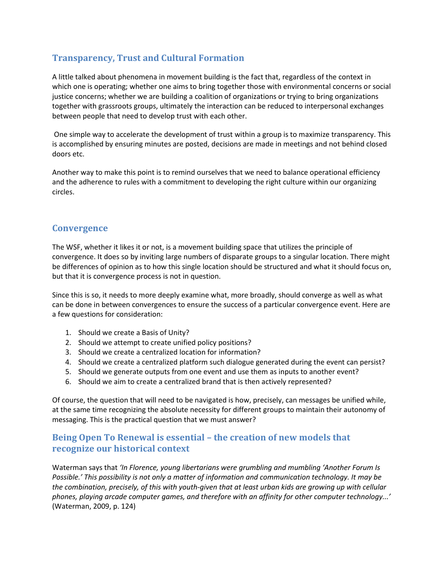## <span id="page-16-0"></span>**Transparency, Trust and Cultural Formation**

A little talked about phenomena in movement building is the fact that, regardless of the context in which one is operating; whether one aims to bring together those with environmental concerns or social justice concerns; whether we are building a coalition of organizations or trying to bring organizations together with grassroots groups, ultimately the interaction can be reduced to interpersonal exchanges between people that need to develop trust with each other.

One simple way to accelerate the development of trust within a group is to maximize transparency. This is accomplished by ensuring minutes are posted, decisions are made in meetings and not behind closed doors etc.

Another way to make this point is to remind ourselves that we need to balance operational efficiency and the adherence to rules with a commitment to developing the right culture within our organizing circles.

#### <span id="page-16-1"></span>**Convergence**

The WSF, whether it likes it or not, is a movement building space that utilizes the principle of convergence. It does so by inviting large numbers of disparate groups to a singular location. There might be differences of opinion as to how this single location should be structured and what it should focus on, but that it is convergence process is not in question.

Since this is so, it needs to more deeply examine what, more broadly, should converge as well as what can be done in between convergences to ensure the success of a particular convergence event. Here are a few questions for consideration:

- 1. Should we create a Basis of Unity?
- 2. Should we attempt to create unified policy positions?
- 3. Should we create a centralized location for information?
- 4. Should we create a centralized platform such dialogue generated during the event can persist?
- 5. Should we generate outputs from one event and use them as inputs to another event?
- 6. Should we aim to create a centralized brand that is then actively represented?

Of course, the question that will need to be navigated is how, precisely, can messages be unified while, at the same time recognizing the absolute necessity for different groups to maintain their autonomy of messaging. This is the practical question that we must answer?

## <span id="page-16-2"></span>**Being Open To Renewal is essential – the creation of new models that recognize our historical context**

Waterman says that *'In Florence, young libertarians were grumbling and mumbling 'Another Forum Is Possible.' This possibility is not only a matter of information and communication technology. It may be the combination, precisely, of this with youth-given that at least urban kids are growing up with cellular phones, playing arcade computer games, and therefore with an affinity for other computer technology...'* (Waterman, 2009, p. 124)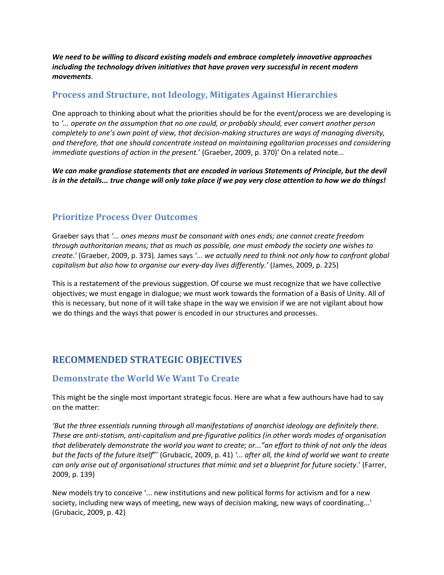*We need to be willing to discard existing models and embrace completely innovative approaches including the technology driven initiatives that have proven very successful in recent modern movements*.

#### <span id="page-17-0"></span>**Process and Structure, not Ideology, Mitigates Against Hierarchies**

One approach to thinking about what the priorities should be for the event/process we are developing is to *'... operate on the assumption that no one could, or probably should, ever convert another person completely to one's own point of view, that decision-making structures are ways of managing diversity, and therefore, that one should concentrate instead on maintaining egalitarian processes and considering immediate questions of action in the present.*' (Graeber, 2009, p. 370)' On a related note...

*We can make grandiose statements that are encoded in various Statements of Principle, but the devil is in the details... true change will only take place if we pay very close attention to how we do things!*

#### <span id="page-17-1"></span>**Prioritize Process Over Outcomes**

Graeber says that *'... ones means must be consonant with ones ends; one cannot create freedom through authoritarian means; that as much as possible, one must embody the society one wishes to create.'* (Graeber, 2009, p. 373)*.* James says *'... we actually need to think not only how to confront global capitalism but also how to organise our every-day lives differently.'* (James, 2009, p. 225)

This is a restatement of the previous suggestion. Of course we must recognize that we have collective objectives; we must engage in dialogue; we must work towards the formation of a Basis of Unity. All of this is necessary, but none of it will take shape in the way we envision if we are not vigilant about how we do things and the ways that power is encoded in our structures and processes.

## <span id="page-17-2"></span>**RECOMMENDED STRATEGIC OBJECTIVES**

## <span id="page-17-3"></span>**Demonstrate the World We Want To Create**

This might be the single most important strategic focus. Here are what a few authours have had to say on the matter:

*'But the three essentials running through all manifestations of anarchist ideology are definitely there. These are anti-statism, anti-capitalism and pre-figurative politics (in other words modes of organisation that deliberately demonstrate the world you want to create; or..."an effort to think of not only the ideas but the facts of the future itself*"' (Grubacic, 2009, p. 41) *'... after all, the kind of world we want to create can only arise out of organisational structures that mimic and set a blueprint for future society*.' (Farrer, 2009, p. 139)

New models try to conceive '... new institutions and new political forms for activism and for a new society, including new ways of meeting, new ways of decision making, new ways of coordinating...' (Grubacic, 2009, p. 42)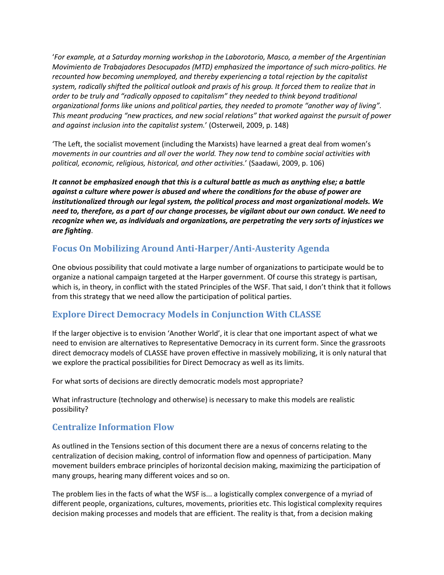'*For example, at a Saturday morning workshop in the Laborotorio, Masco, a member of the Argentinian Movimiento de Trabajadores Desocupados (MTD) emphasized the importance of such micro-politics. He recounted how becoming unemployed, and thereby experiencing a total rejection by the capitalist system, radically shifted the political outlook and praxis of his group. It forced them to realize that in order to be truly and "radically opposed to capitalism" they needed to think beyond traditional organizational forms like unions and political parties, they needed to promote "another way of living". This meant producing "new practices, and new social relations" that worked against the pursuit of power and against inclusion into the capitalist system.*' (Osterweil, 2009, p. 148)

'The Left, the socialist movement (including the Marxists) have learned a great deal from women's *movements in our countries and all over the world. They now tend to combine social activities with political, economic, religious, historical, and other activities.*' (Saadawi, 2009, p. 106)

*It cannot be emphasized enough that this is a cultural battle as much as anything else; a battle against a culture where power is abused and where the conditions for the abuse of power are institutionalized through our legal system, the political process and most organizational models. We need to, therefore, as a part of our change processes, be vigilant about our own conduct. We need to recognize when we, as individuals and organizations, are perpetrating the very sorts of injustices we are fighting*.

## <span id="page-18-0"></span>**Focus On Mobilizing Around Anti-Harper/Anti-Austerity Agenda**

One obvious possibility that could motivate a large number of organizations to participate would be to organize a national campaign targeted at the Harper government. Of course this strategy is partisan, which is, in theory, in conflict with the stated Principles of the WSF. That said, I don't think that it follows from this strategy that we need allow the participation of political parties.

## <span id="page-18-1"></span>**Explore Direct Democracy Models in Conjunction With CLASSE**

If the larger objective is to envision 'Another World', it is clear that one important aspect of what we need to envision are alternatives to Representative Democracy in its current form. Since the grassroots direct democracy models of CLASSE have proven effective in massively mobilizing, it is only natural that we explore the practical possibilities for Direct Democracy as well as its limits.

For what sorts of decisions are directly democratic models most appropriate?

What infrastructure (technology and otherwise) is necessary to make this models are realistic possibility?

## <span id="page-18-2"></span>**Centralize Information Flow**

As outlined in the Tensions section of this document there are a nexus of concerns relating to the centralization of decision making, control of information flow and openness of participation. Many movement builders embrace principles of horizontal decision making, maximizing the participation of many groups, hearing many different voices and so on.

The problem lies in the facts of what the WSF is... a logistically complex convergence of a myriad of different people, organizations, cultures, movements, priorities etc. This logistical complexity requires decision making processes and models that are efficient. The reality is that, from a decision making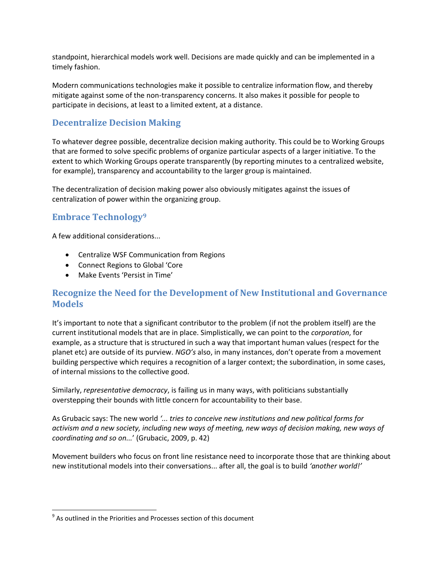standpoint, hierarchical models work well. Decisions are made quickly and can be implemented in a timely fashion.

Modern communications technologies make it possible to centralize information flow, and thereby mitigate against some of the non-transparency concerns. It also makes it possible for people to participate in decisions, at least to a limited extent, at a distance.

#### <span id="page-19-0"></span>**Decentralize Decision Making**

To whatever degree possible, decentralize decision making authority. This could be to Working Groups that are formed to solve specific problems of organize particular aspects of a larger initiative. To the extent to which Working Groups operate transparently (by reporting minutes to a centralized website, for example), transparency and accountability to the larger group is maintained.

The decentralization of decision making power also obviously mitigates against the issues of centralization of power within the organizing group.

#### <span id="page-19-1"></span>**Embrace Technology<sup>9</sup>**

A few additional considerations...

- Centralize WSF Communication from Regions
- Connect Regions to Global 'Core
- Make Events 'Persist in Time'

#### <span id="page-19-2"></span>**Recognize the Need for the Development of New Institutional and Governance Models**

It's important to note that a significant contributor to the problem (if not the problem itself) are the current institutional models that are in place. Simplistically, we can point to the *corporation*, for example, as a structure that is structured in such a way that important human values (respect for the planet etc) are outside of its purview. *NGO's* also, in many instances, don't operate from a movement building perspective which requires a recognition of a larger context; the subordination, in some cases, of internal missions to the collective good.

Similarly, *representative democracy*, is failing us in many ways, with politicians substantially overstepping their bounds with little concern for accountability to their base.

As Grubacic says: The new world *'... tries to conceive new institutions and new political forms for activism and a new society, including new ways of meeting, new ways of decision making, new ways of coordinating and so on...*' (Grubacic, 2009, p. 42)

Movement builders who focus on front line resistance need to incorporate those that are thinking about new institutional models into their conversations... after all, the goal is to build *'another world!'*

 $\overline{\phantom{a}}$ 

 $9$  As outlined in the Priorities and Processes section of this document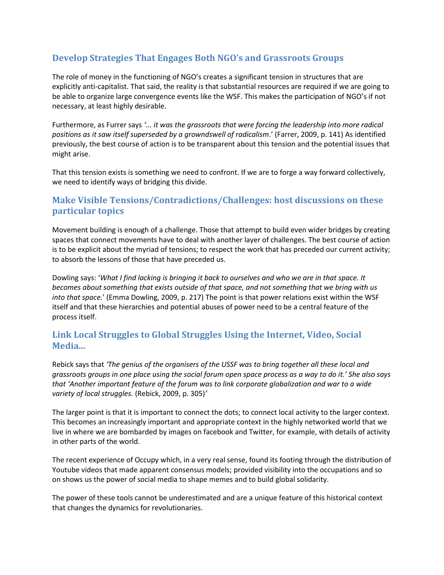## <span id="page-20-0"></span>**Develop Strategies That Engages Both NGO's and Grassroots Groups**

The role of money in the functioning of NGO's creates a significant tension in structures that are explicitly anti-capitalist. That said, the reality is that substantial resources are required if we are going to be able to organize large convergence events like the WSF. This makes the participation of NGO's if not necessary, at least highly desirable.

Furthermore, as Furrer says *'... it was the grassroots that were forcing the leadership into more radical positions as it saw itself superseded by a growndswell of radicalism*.' (Farrer, 2009, p. 141) As identified previously, the best course of action is to be transparent about this tension and the potential issues that might arise.

That this tension exists is something we need to confront. If we are to forge a way forward collectively, we need to identify ways of bridging this divide.

## <span id="page-20-1"></span>**Make Visible Tensions/Contradictions/Challenges: host discussions on these particular topics**

Movement building is enough of a challenge. Those that attempt to build even wider bridges by creating spaces that connect movements have to deal with another layer of challenges. The best course of action is to be explicit about the myriad of tensions; to respect the work that has preceded our current activity; to absorb the lessons of those that have preceded us.

Dowling says: '*What I find lacking is bringing it back to ourselves and who we are in that space. It becomes about something that exists outside of that space, and not something that we bring with us into that space.*' (Emma Dowling, 2009, p. 217) The point is that power relations exist within the WSF itself and that these hierarchies and potential abuses of power need to be a central feature of the process itself.

## <span id="page-20-2"></span>**Link Local Struggles to Global Struggles Using the Internet, Video, Social Media...**

Rebick says that *'The genius of the organisers of the USSF was to bring together all these local and grassroots groups in one place using the social forum open space process as a way to do it.' She also says that 'Another important feature of the forum was to link corporate globalization and war to a wide variety of local struggles.* (Rebick, 2009, p. 305)*'*

The larger point is that it is important to connect the dots; to connect local activity to the larger context. This becomes an increasingly important and appropriate context in the highly networked world that we live in where we are bombarded by images on facebook and Twitter, for example, with details of activity in other parts of the world.

The recent experience of Occupy which, in a very real sense, found its footing through the distribution of Youtube videos that made apparent consensus models; provided visibility into the occupations and so on shows us the power of social media to shape memes and to build global solidarity.

The power of these tools cannot be underestimated and are a unique feature of this historical context that changes the dynamics for revolutionaries.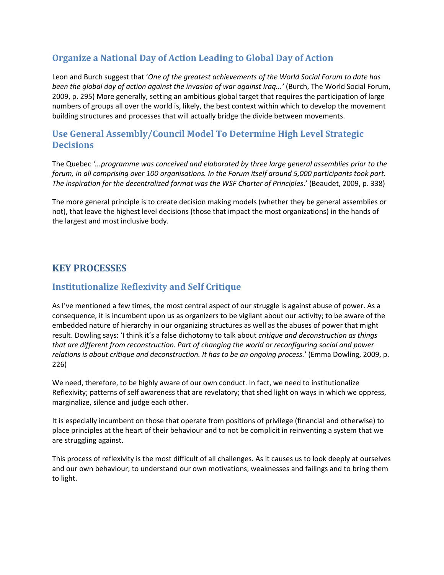## <span id="page-21-0"></span>**Organize a National Day of Action Leading to Global Day of Action**

Leon and Burch suggest that '*One of the greatest achievements of the World Social Forum to date has been the global day of action against the invasion of war against Iraq...'* (Burch, The World Social Forum, 2009, p. 295) More generally, setting an ambitious global target that requires the participation of large numbers of groups all over the world is, likely, the best context within which to develop the movement building structures and processes that will actually bridge the divide between movements.

## <span id="page-21-1"></span>**Use General Assembly/Council Model To Determine High Level Strategic Decisions**

The Quebec *'...programme was conceived and elaborated by three large general assemblies prior to the forum, in all comprising over 100 organisations. In the Forum itself around 5,000 participants took part. The inspiration for the decentralized format was the WSF Charter of Principles*.' (Beaudet, 2009, p. 338)

The more general principle is to create decision making models (whether they be general assemblies or not), that leave the highest level decisions (those that impact the most organizations) in the hands of the largest and most inclusive body.

## <span id="page-21-2"></span>**KEY PROCESSES**

#### <span id="page-21-3"></span>**Institutionalize Reflexivity and Self Critique**

As I've mentioned a few times, the most central aspect of our struggle is against abuse of power. As a consequence, it is incumbent upon us as organizers to be vigilant about our activity; to be aware of the embedded nature of hierarchy in our organizing structures as well as the abuses of power that might result. Dowling says: 'I think it's a false dichotomy to talk about *critique and deconstruction as things that are different from reconstruction. Part of changing the world or reconfiguring social and power relations is about critique and deconstruction. It has to be an ongoing process.*' (Emma Dowling, 2009, p. 226)

We need, therefore, to be highly aware of our own conduct. In fact, we need to institutionalize Reflexivity; patterns of self awareness that are revelatory; that shed light on ways in which we oppress, marginalize, silence and judge each other.

It is especially incumbent on those that operate from positions of privilege (financial and otherwise) to place principles at the heart of their behaviour and to not be complicit in reinventing a system that we are struggling against.

This process of reflexivity is the most difficult of all challenges. As it causes us to look deeply at ourselves and our own behaviour; to understand our own motivations, weaknesses and failings and to bring them to light.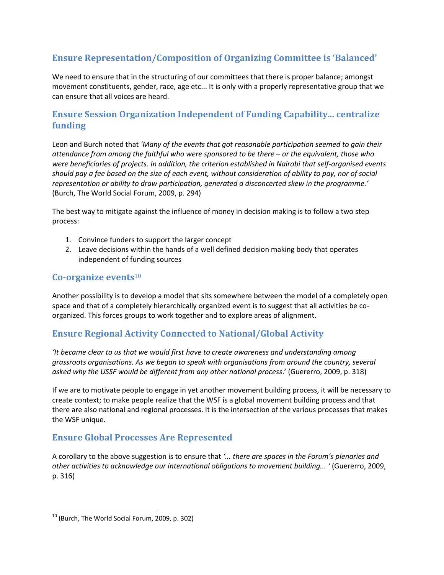## <span id="page-22-0"></span>**Ensure Representation/Composition of Organizing Committee is 'Balanced'**

We need to ensure that in the structuring of our committees that there is proper balance; amongst movement constituents, gender, race, age etc... It is only with a properly representative group that we can ensure that all voices are heard.

## <span id="page-22-1"></span>**Ensure Session Organization Independent of Funding Capability... centralize funding**

Leon and Burch noted that *'Many of the events that got reasonable participation seemed to gain their attendance from among the faithful who were sponsored to be there – or the equivalent, those who were beneficiaries of projects. In addition, the criterion established in Nairobi that self-organised events should pay a fee based on the size of each event, without consideration of ability to pay, nor of social representation or ability to draw participation, generated a disconcerted skew in the programme.'* (Burch, The World Social Forum, 2009, p. 294)

The best way to mitigate against the influence of money in decision making is to follow a two step process:

- 1. Convince funders to support the larger concept
- 2. Leave decisions within the hands of a well defined decision making body that operates independent of funding sources

## <span id="page-22-2"></span>**Co-organize events**<sup>10</sup>

Another possibility is to develop a model that sits somewhere between the model of a completely open space and that of a completely hierarchically organized event is to suggest that all activities be coorganized. This forces groups to work together and to explore areas of alignment.

## <span id="page-22-3"></span>**Ensure Regional Activity Connected to National/Global Activity**

*'It became clear to us that we would first have to create awareness and understanding among grassroots organisations. As we began to speak with organisations from around the country, several asked why the USSF would be different from any other national process*.' (Guererro, 2009, p. 318)

If we are to motivate people to engage in yet another movement building process, it will be necessary to create context; to make people realize that the WSF is a global movement building process and that there are also national and regional processes. It is the intersection of the various processes that makes the WSF unique.

## <span id="page-22-4"></span>**Ensure Global Processes Are Represented**

A corollary to the above suggestion is to ensure that *'... there are spaces in the Forum's plenaries and other activities to acknowledge our international obligations to movement building... '* (Guererro, 2009, p. 316)

 $\overline{\phantom{a}}$ 

 $10$  (Burch, The World Social Forum, 2009, p. 302)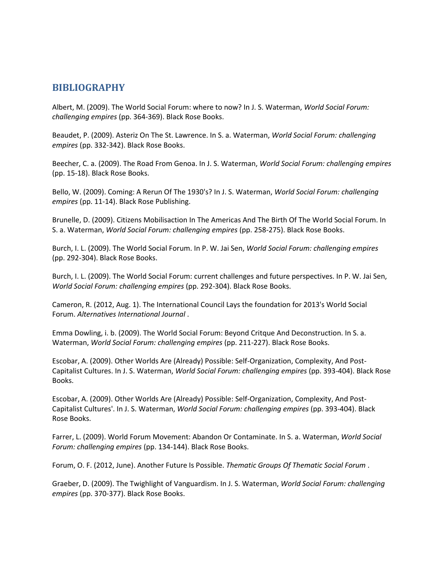## <span id="page-23-0"></span>**BIBLIOGRAPHY**

Albert, M. (2009). The World Social Forum: where to now? In J. S. Waterman, *World Social Forum: challenging empires* (pp. 364-369). Black Rose Books.

Beaudet, P. (2009). Asteriz On The St. Lawrence. In S. a. Waterman, *World Social Forum: challenging empires* (pp. 332-342). Black Rose Books.

Beecher, C. a. (2009). The Road From Genoa. In J. S. Waterman, *World Social Forum: challenging empires* (pp. 15-18). Black Rose Books.

Bello, W. (2009). Coming: A Rerun Of The 1930's? In J. S. Waterman, *World Social Forum: challenging empires* (pp. 11-14). Black Rose Publishing.

Brunelle, D. (2009). Citizens Mobilisaction In The Americas And The Birth Of The World Social Forum. In S. a. Waterman, *World Social Forum: challenging empires* (pp. 258-275). Black Rose Books.

Burch, I. L. (2009). The World Social Forum. In P. W. Jai Sen, *World Social Forum: challenging empires* (pp. 292-304). Black Rose Books.

Burch, I. L. (2009). The World Social Forum: current challenges and future perspectives. In P. W. Jai Sen, *World Social Forum: challenging empires* (pp. 292-304). Black Rose Books.

Cameron, R. (2012, Aug. 1). The International Council Lays the foundation for 2013's World Social Forum. *Alternatives International Journal* .

Emma Dowling, i. b. (2009). The World Social Forum: Beyond Critque And Deconstruction. In S. a. Waterman, *World Social Forum: challenging empires* (pp. 211-227). Black Rose Books.

Escobar, A. (2009). Other Worlds Are (Already) Possible: Self-Organization, Complexity, And Post-Capitalist Cultures. In J. S. Waterman, *World Social Forum: challenging empires* (pp. 393-404). Black Rose Books.

Escobar, A. (2009). Other Worlds Are (Already) Possible: Self-Organization, Complexity, And Post-Capitalist Cultures'. In J. S. Waterman, *World Social Forum: challenging empires* (pp. 393-404). Black Rose Books.

Farrer, L. (2009). World Forum Movement: Abandon Or Contaminate. In S. a. Waterman, *World Social Forum: challenging empires* (pp. 134-144). Black Rose Books.

Forum, O. F. (2012, June). Another Future Is Possible. *Thematic Groups Of Thematic Social Forum* .

Graeber, D. (2009). The Twighlight of Vanguardism. In J. S. Waterman, *World Social Forum: challenging empires* (pp. 370-377). Black Rose Books.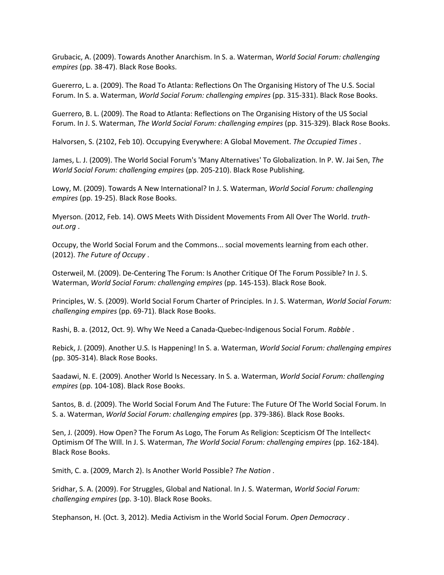Grubacic, A. (2009). Towards Another Anarchism. In S. a. Waterman, *World Social Forum: challenging empires* (pp. 38-47). Black Rose Books.

Guererro, L. a. (2009). The Road To Atlanta: Reflections On The Organising History of The U.S. Social Forum. In S. a. Waterman, *World Social Forum: challenging empires* (pp. 315-331). Black Rose Books.

Guerrero, B. L. (2009). The Road to Atlanta: Reflections on The Organising History of the US Social Forum. In J. S. Waterman, *The World Social Forum: challenging empires* (pp. 315-329). Black Rose Books.

Halvorsen, S. (2102, Feb 10). Occupying Everywhere: A Global Movement. *The Occupied Times* .

James, L. J. (2009). The World Social Forum's 'Many Alternatives' To Globalization. In P. W. Jai Sen, *The World Social Forum: challenging empires* (pp. 205-210). Black Rose Publishing.

Lowy, M. (2009). Towards A New International? In J. S. Waterman, *World Social Forum: challenging empires* (pp. 19-25). Black Rose Books.

Myerson. (2012, Feb. 14). OWS Meets With Dissident Movements From All Over The World. *truthout.org* .

Occupy, the World Social Forum and the Commons... social movements learning from each other. (2012). *The Future of Occupy* .

Osterweil, M. (2009). De-Centering The Forum: Is Another Critique Of The Forum Possible? In J. S. Waterman, *World Social Forum: challenging empires* (pp. 145-153). Black Rose Book.

Principles, W. S. (2009). World Social Forum Charter of Principles. In J. S. Waterman, *World Social Forum: challenging empires* (pp. 69-71). Black Rose Books.

Rashi, B. a. (2012, Oct. 9). Why We Need a Canada-Quebec-Indigenous Social Forum. *Rabble* .

Rebick, J. (2009). Another U.S. Is Happening! In S. a. Waterman, *World Social Forum: challenging empires* (pp. 305-314). Black Rose Books.

Saadawi, N. E. (2009). Another World Is Necessary. In S. a. Waterman, *World Social Forum: challenging empires* (pp. 104-108). Black Rose Books.

Santos, B. d. (2009). The World Social Forum And The Future: The Future Of The World Social Forum. In S. a. Waterman, *World Social Forum: challenging empires* (pp. 379-386). Black Rose Books.

Sen, J. (2009). How Open? The Forum As Logo, The Forum As Religion: Scepticism Of The Intellect< Optimism Of The WIll. In J. S. Waterman, *The World Social Forum: challenging empires* (pp. 162-184). Black Rose Books.

Smith, C. a. (2009, March 2). Is Another World Possible? *The Nation* .

Sridhar, S. A. (2009). For Struggles, Global and National. In J. S. Waterman, *World Social Forum: challenging empires* (pp. 3-10). Black Rose Books.

Stephanson, H. (Oct. 3, 2012). Media Activism in the World Social Forum. *Open Democracy* .